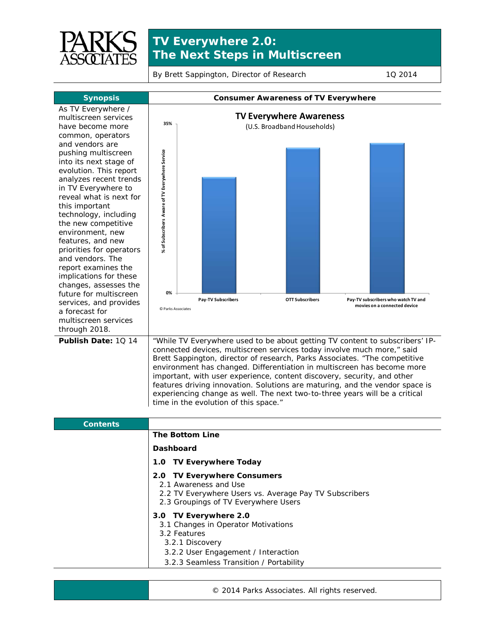

## **TV Everywhere 2.0: The Next Steps in Multiscreen**

By Brett Sappington, Director of Research 10 2014



- 3.1 Changes in Operator Motivations
- 3.2 Features
- 3.2.1 Discovery
- 3.2.2 User Engagement / Interaction
- 3.2.3 Seamless Transition / Portability

© 2014 Parks Associates. All rights reserved.